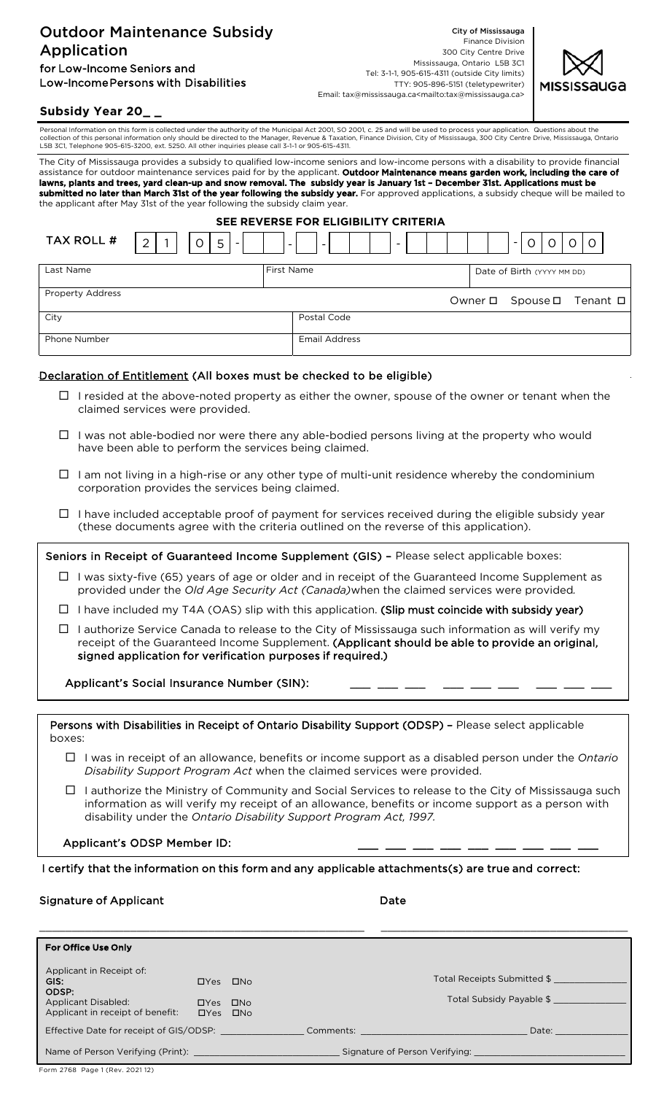# Outdoor Maintenance Subsidy Application for Low-Income Seniors and

Low-Income Persons with Disabilities



# **Subsidy Year 20\_ \_**

Personal Information on this form is collected under the authority of the Municipal Act 2001, SO 2001, c. 25 and will be used to process your application. Questions about the<br>collection of this personal information only s

The City of Mississauga provides a subsidy to qualified low-income seniors and low-income persons with a disability to provide financial assistance for outdoor maintenance services paid for by the applicant. Outdoor Maintenance means garden work, including the care of lawns, plants and trees, yard clean-up and snow removal. The subsidy year is January 1st – December 31st. Applications must be submitted no later than March 31st of the year following the subsidy year. For approved applications, a subsidy cheque will be mailed to the applicant after May 31st of the year following the subsidy claim year.

| SEE REVERSE FOR ELIGIBILITY CRITERIA |                                         |                                                                |                                     |         |  |  |
|--------------------------------------|-----------------------------------------|----------------------------------------------------------------|-------------------------------------|---------|--|--|
| <b>TAX ROLL #</b>                    | $\mathcal{D}$<br>5<br>$\circ$<br>$\sim$ | $\overline{\phantom{a}}$<br>$\sim$<br>$\overline{\phantom{a}}$ | $\circ$<br>O<br>$\blacksquare$      | $\circ$ |  |  |
| Last Name                            | First Name                              |                                                                | Date of Birth (YYYY MM DD)          |         |  |  |
| <b>Property Address</b>              |                                         |                                                                | Spouse □ Tenant □<br>Owner <b>□</b> |         |  |  |
| City                                 |                                         | Postal Code                                                    |                                     |         |  |  |
| Phone Number                         |                                         | <b>Email Address</b>                                           |                                     |         |  |  |

#### Declaration of Entitlement (All boxes must be checked to be eligible)

- $\Box$  I resided at the above-noted property as either the owner, spouse of the owner or tenant when the claimed services were provided.
- $\Box$  I was not able-bodied nor were there any able-bodied persons living at the property who would have been able to perform the services being claimed.
- $\Box$  I am not living in a high-rise or any other type of multi-unit residence whereby the condominium corporation provides the services being claimed.
- $\Box$  I have included acceptable proof of payment for services received during the eligible subsidy year (these documents agree with the criteria outlined on the reverse of this application).

Seniors in Receipt of Guaranteed Income Supplement (GIS) – Please select applicable boxes:

- $\Box$  I was sixty-five (65) years of age or older and in receipt of the Guaranteed Income Supplement as provided under the *Old Age Security Act (Canada)*when the claimed services were provided*.*
- $\Box$  I have included my T4A (OAS) slip with this application. (Slip must coincide with subsidy year)
- $\Box$  I authorize Service Canada to release to the City of Mississauga such information as will verify my receipt of the Guaranteed Income Supplement. (Applicant should be able to provide an original, signed application for verification purposes if required.)

Applicant's Social Insurance Number (SIN):

Persons with Disabilities in Receipt of Ontario Disability Support (ODSP) - Please select applicable boxes:

- I was in receipt of an allowance, benefits or income support as a disabled person under the *Ontario Disability Support Program Act* when the claimed services were provided.
- $\Box$  I authorize the Ministry of Community and Social Services to release to the City of Mississauga such information as will verify my receipt of an allowance, benefits or income support as a person with disability under the *Ontario Disability Support Program Act, 1997.*

Applicant's ODSP Member ID:

I certify that the information on this form and any applicable attachments(s) are true and correct:

# Signature of Applicant Date and Date Date Date

| <b>For Office Use Only</b>                                      |                      |     |  |                                                                                                                                                                                                                                                                      |  |  |
|-----------------------------------------------------------------|----------------------|-----|--|----------------------------------------------------------------------------------------------------------------------------------------------------------------------------------------------------------------------------------------------------------------------|--|--|
| Applicant in Receipt of:                                        |                      |     |  |                                                                                                                                                                                                                                                                      |  |  |
| GIS:                                                            | $\Box$ Yes           | ⊟No |  | Total Receipts Submitted \$                                                                                                                                                                                                                                          |  |  |
| ODSP:<br>Applicant Disabled:                                    | $\Box$ Yes $\Box$ No |     |  | Total Subsidy Payable \$                                                                                                                                                                                                                                             |  |  |
| Applicant in receipt of benefit:                                | $\Box$ Yes $\Box$ No |     |  |                                                                                                                                                                                                                                                                      |  |  |
| Effective Date for receipt of GIS/ODSP:                         |                      |     |  | Comments: will be a commented by the comments of the contract of the contract of the contract of the contract of the contract of the contract of the contract of the contract of the contract of the contract of the contract<br>Date: <u>with the second second</u> |  |  |
| Name of Person Verifying (Print): Name of Person Name of Person |                      |     |  | Signature of Person Verifying: The Contract of Signature of Person Verifying:                                                                                                                                                                                        |  |  |

Form 2768 Page 1 (Rev. 2021 12)